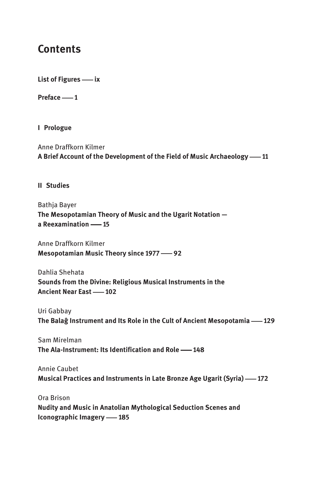## **Contents**

**List of Figures — ix** 

**Preface   1**

**I Prologue**

Anne Draffkorn Kilmer A Brief Account of the Development of the Field of Music Archaeology -11

**II Studies**

Bathja Bayer **The Mesopotamian Theory of Music and the Ugarit Notation**  a Reexamination -- 15

Anne Draffkorn Kilmer **Mesopotamian Music Theory since 1977 - 92** 

Dahlia Shehata **Sounds from the Divine: Religious Musical Instruments in the Ancient Near East — 102** 

Uri Gabbay **The Balag Instrument and Its Role in the Cult of Ancient Mesopotamia — 129** 

Sam Mirelman **The Ala-Instrument: Its Identification and Role — 148** 

Annie Caubet **Musical Practices and Instruments in Late Bronze Age Ugarit (Syria) -172** 

Ora Brison **Nudity and Music in Anatolian Mythological Seduction Scenes and Iconographic Imagery -185**